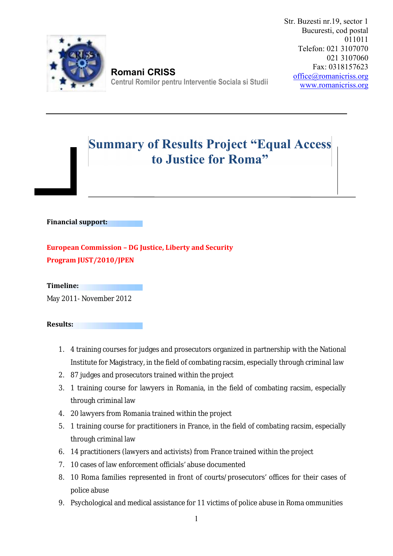

**Romani CRISS Centrul Romilor pentru Interventie Sociala si Studii** Str. Buzesti nr.19, sector 1 Bucuresti, cod postal 011011 Telefon: 021 3107070 021 3107060 Fax: 0318157623 office@romanicriss.org www.romanicriss.org

## **Summary of Results Project "Equal Access to Justice for Roma"**

## **Financial support:**

**European Commission –DG Justice, Liberty and Security Program JUST/2010/JPEN**

**Timeline:**

May 2011- November 2012

**Results:**

- 1. 4 training courses for judges and prosecutors organized in partnership with the National Institute for Magistracy, in the field of combating racsim, especially through criminal law
- 2. 87 judges and prosecutors trained within the project
- 3. 1 training course for lawyers in Romania, in the field of combating racsim, especially through criminal law
- 4. 20 lawyers from Romania trained within the project
- 5. 1 training course for practitioners in France, in the field of combating racsim, especially through criminal law
- 6. 14 practitioners (lawyers and activists) from France trained within the project
- 7. 10 cases of law enforcement officials' abuse documented
- 8. 10 Roma families represented in front of courts/prosecutors' offices for their cases of police abuse
- 9. Psychological and medical assistance for 11 victims of police abuse in Roma ommunities